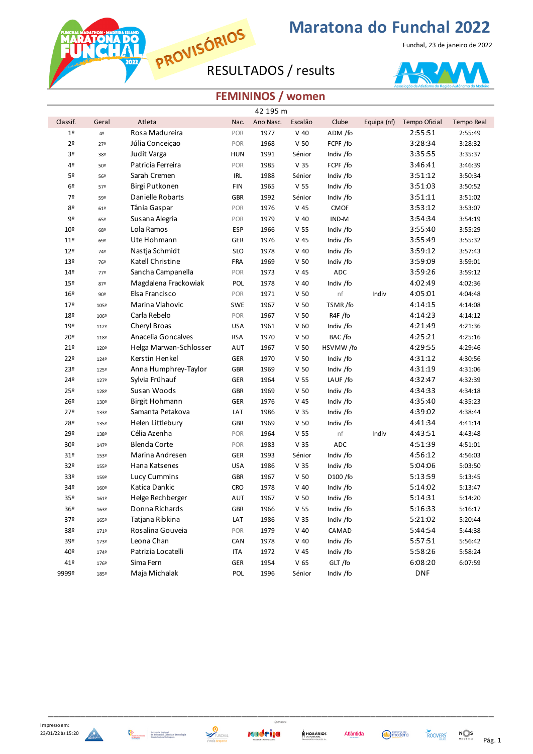**PROVISÓRIUP Marate**<br>RESULTADOS / results

**RATONA DO**<br>IN CHA

## **Maratona do Funchal 2022**

Funchal, 23 de janeiro de 2022



## **FEMININOS / women**

|                 | 42 195 m |                        |            |           |                 |             |             |               |            |  |  |
|-----------------|----------|------------------------|------------|-----------|-----------------|-------------|-------------|---------------|------------|--|--|
| Classif.        | Geral    | Atleta                 | Nac.       | Ano Nasc. | Escalão         | Clube       | Equipa (nf) | Tempo Oficial | Tempo Real |  |  |
| $19$            | 42       | Rosa Madureira         | POR        | 1977      | $V$ 40          | ADM /fo     |             | 2:55:51       | 2:55:49    |  |  |
| 2 <sup>o</sup>  | 27º      | Júlia Conceiçao        | POR        | 1968      | V <sub>50</sub> | FCPF /fo    |             | 3:28:34       | 3:28:32    |  |  |
| 3º              | 38º      | Judit Varga            | <b>HUN</b> | 1991      | Sénior          | Indiv /fo   |             | 3:35:55       | 3:35:37    |  |  |
| 4º              | 50º      | Patricia Ferreira      | POR        | 1985      | V <sub>35</sub> | FCPF /fo    |             | 3:46:41       | 3:46:39    |  |  |
| 5º              | 56º      | Sarah Cremen           | <b>IRL</b> | 1988      | Sénior          | Indiv /fo   |             | 3:51:12       | 3:50:34    |  |  |
| 6º              | 57º      | Birgi Putkonen         | FIN        | 1965      | V 55            | Indiv /fo   |             | 3:51:03       | 3:50:52    |  |  |
| 7º              | 59º      | Danielle Robarts       | <b>GBR</b> | 1992      | Sénior          | Indiv /fo   |             | 3:51:11       | 3:51:02    |  |  |
| 80              | 61º      | Tânia Gaspar           | POR        | 1976      | V 45            | <b>CMOF</b> |             | 3:53:12       | 3:53:07    |  |  |
| 9º              | 65º      | Susana Alegria         | POR        | 1979      | $V$ 40          | IND-M       |             | 3:54:34       | 3:54:19    |  |  |
| 10 <sup>°</sup> | 68º      | Lola Ramos             | ESP        | 1966      | V <sub>55</sub> | Indiv /fo   |             | 3:55:40       | 3:55:29    |  |  |
| 11 <sup>°</sup> | 69º      | Ute Hohmann            | GER        | 1976      | V 45            | Indiv /fo   |             | 3:55:49       | 3:55:32    |  |  |
| 12º             | 74º      | Nastja Schmidt         | <b>SLO</b> | 1978      | $V$ 40          | Indiv /fo   |             | 3:59:12       | 3:57:43    |  |  |
| 13º             | 76º      | Katell Christine       | FRA        | 1969      | V <sub>50</sub> | Indiv /fo   |             | 3:59:09       | 3:59:01    |  |  |
| 14º             | 779      | Sancha Campanella      | POR        | 1973      | V 45            | ADC         |             | 3:59:26       | 3:59:12    |  |  |
| 15º             | 87º      | Magdalena Frackowiak   | POL        | 1978      | $V$ 40          | Indiv /fo   |             | 4:02:49       | 4:02:36    |  |  |
| 16º             | 90º      | Elsa Francisco         | POR        | 1971      | V <sub>50</sub> | nf          | Indiv       | 4:05:01       | 4:04:48    |  |  |
| 179             | 105º     | Marina Vlahovic        | SWE        | 1967      | V <sub>50</sub> | TSMR/fo     |             | 4:14:15       | 4:14:08    |  |  |
| 18º             | 106º     | Carla Rebelo           | POR        | 1967      | V <sub>50</sub> | R4F /fo     |             | 4:14:23       | 4:14:12    |  |  |
| 19º             | 112º     | Cheryl Broas           | <b>USA</b> | 1961      | V <sub>60</sub> | Indiv /fo   |             | 4:21:49       | 4:21:36    |  |  |
| 20º             | 118º     | Anacelia Goncalves     | <b>RSA</b> | 1970      | V <sub>50</sub> | BAC/fo      |             | 4:25:21       | 4:25:16    |  |  |
| 21°             | 120º     | Helga Marwan-Schlosser | AUT        | 1967      | V <sub>50</sub> | HSVMW/fo    |             | 4:29:55       | 4:29:46    |  |  |
| 22º             | 1249     | Kerstin Henkel         | GER        | 1970      | V <sub>50</sub> | Indiv /fo   |             | 4:31:12       | 4:30:56    |  |  |
| 23º             | 125º     | Anna Humphrey-Taylor   | GBR        | 1969      | V <sub>50</sub> | Indiv /fo   |             | 4:31:19       | 4:31:06    |  |  |
| 24º             | 1279     | Sylvia Frühauf         | <b>GER</b> | 1964      | V <sub>55</sub> | LAUF /fo    |             | 4:32:47       | 4:32:39    |  |  |
| 25º             | 128º     | Susan Woods            | <b>GBR</b> | 1969      | V <sub>50</sub> | Indiv /fo   |             | 4:34:33       | 4:34:18    |  |  |
| 26º             | 130º     | Birgit Hohmann         | GER        | 1976      | V 45            | Indiv /fo   |             | 4:35:40       | 4:35:23    |  |  |
| 27º             | 133º     | Samanta Petakova       | LAT        | 1986      | V <sub>35</sub> | Indiv /fo   |             | 4:39:02       | 4:38:44    |  |  |
| 28º             | 135º     | Helen Littlebury       | GBR        | 1969      | V <sub>50</sub> | Indiv /fo   |             | 4:41:34       | 4:41:14    |  |  |
| 29º             | 138º     | Célia Azenha           | POR        | 1964      | V <sub>55</sub> | nf          | Indiv       | 4:43:51       | 4:43:48    |  |  |
| 30º             | 1479     | <b>Blenda Corte</b>    | POR        | 1983      | V <sub>35</sub> | ADC         |             | 4:51:39       | 4:51:01    |  |  |
| 31 <sup>°</sup> | 153º     | Marina Andresen        | GER        | 1993      | Sénior          | Indiv /fo   |             | 4:56:12       | 4:56:03    |  |  |
| 32º             | 155º     | Hana Katsenes          | <b>USA</b> | 1986      | V <sub>35</sub> | Indiv /fo   |             | 5:04:06       | 5:03:50    |  |  |
| 33º             | 159º     | <b>Lucy Cummins</b>    | GBR        | 1967      | V <sub>50</sub> | D100 /fo    |             | 5:13:59       | 5:13:45    |  |  |
| 34º             | 160º     | Katica Dankic          | <b>CRO</b> | 1978      | $V$ 40          | Indiv /fo   |             | 5:14:02       | 5:13:47    |  |  |
| 35º             | 161º     | Helge Rechberger       | AUT        | 1967      | V <sub>50</sub> | Indiv /fo   |             | 5:14:31       | 5:14:20    |  |  |
| 36 <sup>o</sup> | 163º     | Donna Richards         | <b>GBR</b> | 1966      | V <sub>55</sub> | Indiv /fo   |             | 5:16:33       | 5:16:17    |  |  |
| 37º             | 165º     | Tatjana Ribkina        | LAT        | 1986      | V <sub>35</sub> | Indiv /fo   |             | 5:21:02       | 5:20:44    |  |  |
| 38º             | 1719     | Rosalina Gouveia       | POR        | 1979      | $V$ 40          | CAMAD       |             | 5:44:54       | 5:44:38    |  |  |
| 39º             | 173º     | Leona Chan             | CAN        | 1978      | $V$ 40          | Indiv /fo   |             | 5:57:51       | 5:56:42    |  |  |
| 40º             | 1749     | Patrizia Locatelli     | ITA        | 1972      | V 45            | Indiv /fo   |             | 5:58:26       | 5:58:24    |  |  |
| 41º             | 176º     | Sima Fern              | GER        | 1954      | V <sub>65</sub> | GLT /fo     |             | 6:08:20       | 6:07:59    |  |  |
| 9999º           | 185º     | Maja Michalak          | POL        | 1996      | Sénior          | Indiv /fo   |             | DNF           |            |  |  |







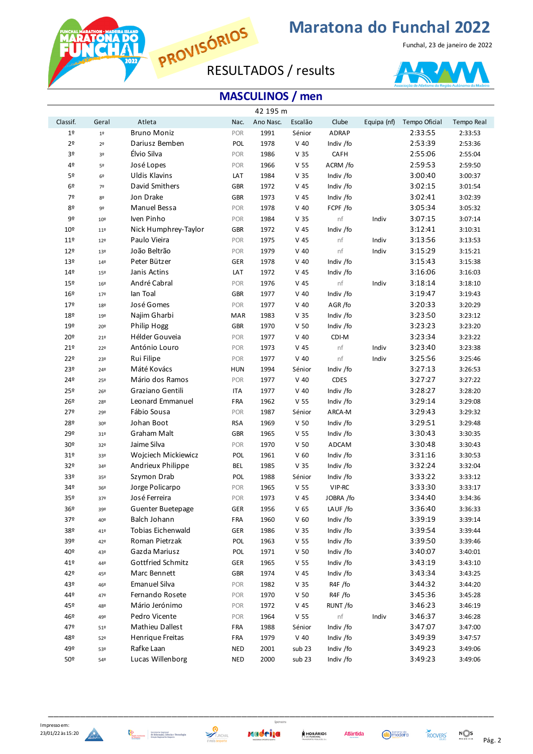

**RATONA DC** 

## **Maratona do Funchal 2022**

Funchal, 23 de janeiro de 2022



|                 | 42 195 m        |                      |            |           |                 |              |             |               |            |  |  |
|-----------------|-----------------|----------------------|------------|-----------|-----------------|--------------|-------------|---------------|------------|--|--|
| Classif.        | Geral           | Atleta               | Nac.       | Ano Nasc. | Escalão         | Clube        | Equipa (nf) | Tempo Oficial | Tempo Real |  |  |
| 1 <sup>°</sup>  | $1^{\circ}$     | <b>Bruno Moniz</b>   | POR        | 1991      | Sénior          | <b>ADRAP</b> |             | 2:33:55       | 2:33:53    |  |  |
| 2 <sup>o</sup>  | 2 <sup>o</sup>  | Dariusz Bemben       | POL        | 1978      | $V$ 40          | Indiv /fo    |             | 2:53:39       | 2:53:36    |  |  |
| 3º              | 3 <sup>o</sup>  | Élvio Silva          | POR        | 1986      | V <sub>35</sub> | CAFH         |             | 2:55:06       | 2:55:04    |  |  |
| 4º              | 5º              | José Lopes           | POR        | 1966      | V <sub>55</sub> | ACRM /fo     |             | 2:59:53       | 2:59:50    |  |  |
| 5º              | 6 <sup>°</sup>  | <b>Uldis Klavins</b> | LAT        | 1984      | V <sub>35</sub> | Indiv /fo    |             | 3:00:40       | 3:00:37    |  |  |
| 6º              | 7 <sup>°</sup>  | David Smithers       | GBR        | 1972      | $V$ 45          | Indiv /fo    |             | 3:02:15       | 3:01:54    |  |  |
| 7º              | 82              | Jon Drake            | GBR        | 1973      | $V$ 45          | Indiv /fo    |             | 3:02:41       | 3:02:39    |  |  |
| 80              | 9º              | Manuel Bessa         | POR        | 1978      | $V$ 40          | FCPF /fo     |             | 3:05:34       | 3:05:32    |  |  |
| 9º              | 10 <sup>°</sup> | Iven Pinho           | POR        | 1984      | V <sub>35</sub> | nf           | Indiv       | 3:07:15       | 3:07:14    |  |  |
| 10 <sup>°</sup> | 11 <sup>°</sup> | Nick Humphrey-Taylor | GBR        | 1972      | $V$ 45          | Indiv /fo    |             | 3:12:41       | 3:10:31    |  |  |
| 11 <sup>°</sup> | 12 <sup>°</sup> | Paulo Vieira         | POR        | 1975      | $V$ 45          | nf           | Indiv       | 3:13:56       | 3:13:53    |  |  |
| 12º             | 13º             | João Beltrão         | POR        | 1979      | $V$ 40          | nf           | Indiv       | 3:15:29       | 3:15:21    |  |  |
| 13º             | 149             | Peter Bützer         | GER        | 1978      | $V$ 40          | Indiv /fo    |             | 3:15:43       | 3:15:38    |  |  |
| 14º             | 15º             | Janis Actins         | LAT        | 1972      | $V$ 45          | Indiv /fo    |             | 3:16:06       | 3:16:03    |  |  |
| 15º             | 16º             | André Cabral         | POR        | 1976      | $V$ 45          | nf           | Indiv       | 3:18:14       | 3:18:10    |  |  |
| 16º             | 17 <sup>°</sup> | lan Toal             | GBR        | 1977      | $V$ 40          | Indiv /fo    |             | 3:19:47       | 3:19:43    |  |  |
| 179             | 18º             | José Gomes           | POR        | 1977      | $V$ 40          | AGR/fo       |             | 3:20:33       | 3:20:29    |  |  |
| 18º             | 19º             | Najim Gharbi         | <b>MAR</b> | 1983      | V <sub>35</sub> | Indiv /fo    |             | 3:23:50       | 3:23:12    |  |  |
| 19º             | 20º             | Philip Hogg          | <b>GBR</b> | 1970      | V <sub>50</sub> | Indiv /fo    |             | 3:23:23       | 3:23:20    |  |  |
| 20º             | 21º             | Hélder Gouveia       | POR        | 1977      | $V$ 40          | CDI-M        |             | 3:23:34       | 3:23:22    |  |  |
| 21º             | 22º             | António Louro        | POR        | 1973      | $V$ 45          | nf           | Indiv       | 3:23:40       | 3:23:38    |  |  |
| 22º             | 23º             | Rui Filipe           | POR        | 1977      | $V$ 40          | nf           | Indiv       | 3:25:56       | 3:25:46    |  |  |
| 23º             | 24º             | Máté Kovács          | <b>HUN</b> | 1994      | Sénior          | Indiv /fo    |             | 3:27:13       | 3:26:53    |  |  |
| 249             | 25º             | Mário dos Ramos      | POR        | 1977      | $V$ 40          | <b>CDES</b>  |             | 3:27:27       | 3:27:22    |  |  |
| 25º             | 26º             | Graziano Gentili     | <b>ITA</b> | 1977      | $V$ 40          | Indiv /fo    |             | 3:28:27       | 3:28:20    |  |  |
| 26º             | 28º             | Leonard Emmanuel     | <b>FRA</b> | 1962      | V <sub>55</sub> | Indiv /fo    |             | 3:29:14       | 3:29:08    |  |  |
| 27º             | 29º             | Fábio Sousa          | POR        | 1987      | Sénior          | ARCA-M       |             | 3:29:43       | 3:29:32    |  |  |
| 28º             | 30 <sup>o</sup> | Johan Boot           | <b>RSA</b> | 1969      | V <sub>50</sub> | Indiv /fo    |             | 3:29:51       | 3:29:48    |  |  |
| 29º             | 31 <sup>o</sup> | Graham Malt          | <b>GBR</b> | 1965      | V <sub>55</sub> | Indiv /fo    |             | 3:30:43       | 3:30:35    |  |  |
| 30 <sup>o</sup> | 32º             | Jaime Silva          | POR        | 1970      | V <sub>50</sub> | ADCAM        |             | 3:30:48       | 3:30:43    |  |  |
| 31º             | 33º             | Wojciech Mickiewicz  | POL        | 1961      | V <sub>60</sub> | Indiv /fo    |             | 3:31:16       | 3:30:53    |  |  |
| 32º             | 34º             | Andrieux Philippe    | <b>BEL</b> | 1985      | V <sub>35</sub> | Indiv /fo    |             | 3:32:24       | 3:32:04    |  |  |
| 33º             | 35º             | Szymon Drab          | POL        | 1988      | Sénior          | Indiv /fo    |             | 3:33:22       | 3:33:12    |  |  |
| 34º             | 36º             | Jorge Policarpo      | POR        | 1965      | V <sub>55</sub> | VIP-RC       |             | 3:33:30       | 3:33:17    |  |  |
| 35º             | 37º             | José Ferreira        | POR        | 1973      | V <sub>45</sub> | JOBRA /fo    |             | 3:34:40       | 3:34:36    |  |  |
| 36 <sup>o</sup> | 39º             | Guenter Buetepage    | <b>GER</b> | 1956      | V <sub>65</sub> | LAUF /fo     |             | 3:36:40       | 3:36:33    |  |  |
| 37º             | 40º             | Balch Johann         | FRA        | 1960      | V <sub>60</sub> | Indiv /fo    |             | 3:39:19       | 3:39:14    |  |  |
| 38º             | 41º             | Tobias Eichenwald    | <b>GER</b> | 1986      | V <sub>35</sub> | Indiv /fo    |             | 3:39:54       | 3:39:44    |  |  |
| 39º             | 42º             | Roman Pietrzak       | POL        | 1963      | V <sub>55</sub> | Indiv /fo    |             | 3:39:50       | 3:39:46    |  |  |
| 40º             | 43º             | Gazda Mariusz        | POL        | 1971      | V <sub>50</sub> | Indiv /fo    |             | 3:40:07       | 3:40:01    |  |  |
| $419$           | 44º             | Gottfried Schmitz    | GER        | 1965      | V <sub>55</sub> | Indiv /fo    |             | 3:43:19       | 3:43:10    |  |  |
| 42º             | 45º             | Marc Bennett         | GBR        | 1974      | $V$ 45          | Indiv /fo    |             | 3:43:34       | 3:43:25    |  |  |
| 43º             | 46º             | <b>Emanuel Silva</b> | POR        | 1982      | V <sub>35</sub> | R4F /fo      |             | 3:44:32       | 3:44:20    |  |  |
| 449             | 47º             | Fernando Rosete      | POR        | 1970      | V <sub>50</sub> | R4F /fo      |             | 3:45:36       | 3:45:28    |  |  |
| 45º             | 48º             | Mário Jerónimo       | POR        | 1972      | V 45            | RUNT /fo     |             | 3:46:23       | 3:46:19    |  |  |
| 46º             | 49º             | Pedro Vicente        | POR        | 1964      | V <sub>55</sub> | nf           | Indiv       | 3:46:37       | 3:46:28    |  |  |
| 47º             | 51 <sup>°</sup> | Mathieu Dallest      | FRA        | 1988      | Sénior          | Indiv /fo    |             | 3:47:07       | 3:47:00    |  |  |
| 48º             | 52º             | Henrique Freitas     | FRA        | 1979      | $V$ 40          | Indiv /fo    |             | 3:49:39       | 3:47:57    |  |  |
| 49º             | 53º             | Rafke Laan           | <b>NED</b> | 2001      | sub 23          | Indiv /fo    |             | 3:49:23       | 3:49:06    |  |  |
| 50º             | 54º             | Lucas Willenborg     | <b>NED</b> | 2000      | sub 23          | Indiv /fo    |             | 3:49:23       | 3:49:06    |  |  |



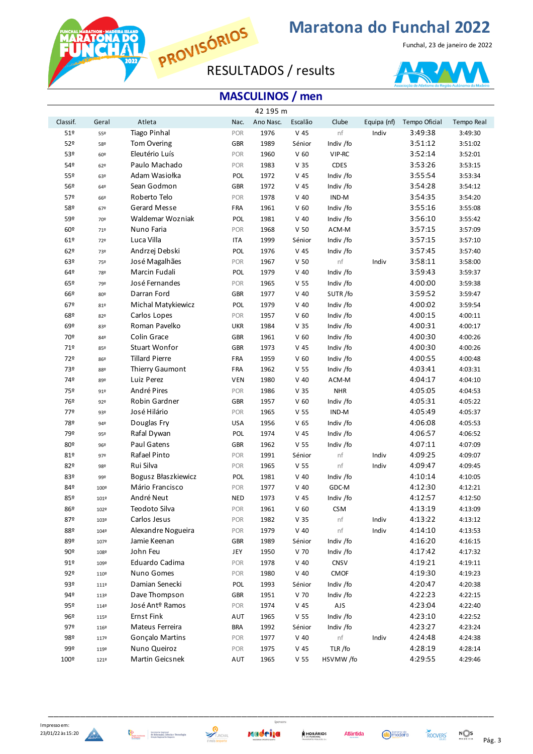Marat

**RATONA DC** 

## **Maratona do Funchal 2022**

Funchal, 23 de janeiro de 2022



|          |       |                             |            | 42 195 m  |                 |             |             |               |            |
|----------|-------|-----------------------------|------------|-----------|-----------------|-------------|-------------|---------------|------------|
| Classif. | Geral | Atleta                      | Nac.       | Ano Nasc. | Escalão         | Clube       | Equipa (nf) | Tempo Oficial | Tempo Real |
| 51º      | 55º   | <b>Tiago Pinhal</b>         | POR        | 1976      | $V$ 45          | $\sf nf$    | Indiv       | 3:49:38       | 3:49:30    |
| 52º      | 58º   | Tom Overing                 | <b>GBR</b> | 1989      | Sénior          | Indiv /fo   |             | 3:51:12       | 3:51:02    |
| 53º      | 60º   | Eleutério Luís              | POR        | 1960      | V <sub>60</sub> | VIP-RC      |             | 3:52:14       | 3:52:01    |
| 54º      | 62º   | Paulo Machado               | POR        | 1983      | V <sub>35</sub> | <b>CDES</b> |             | 3:53:26       | 3:53:15    |
| 55º      | 63º   | Adam Wasiołka               | POL        | 1972      | $V$ 45          | Indiv /fo   |             | 3:55:54       | 3:53:34    |
| 56º      | 64º   | Sean Godmon                 | <b>GBR</b> | 1972      | V <sub>45</sub> | Indiv /fo   |             | 3:54:28       | 3:54:12    |
| 57º      | 66º   | Roberto Telo                | POR        | 1978      | $V$ 40          | IND-M       |             | 3:54:35       | 3:54:20    |
| 58º      | 67º   | Gerard Messe                | FRA        | 1961      | V <sub>60</sub> | Indiv /fo   |             | 3:55:16       | 3:55:08    |
| 59º      | 70º   | Waldemar Wozniak            | POL        | 1981      | $V$ 40          | Indiv /fo   |             | 3:56:10       | 3:55:42    |
| 60º      | 71º   | Nuno Faria                  | POR        | 1968      | V <sub>50</sub> | ACM-M       |             | 3:57:15       | 3:57:09    |
| 61º      | 72º   | Luca Villa                  | <b>ITA</b> | 1999      | Sénior          | Indiv /fo   |             | 3:57:15       | 3:57:10    |
| 62º      | 73º   | Andrzej Debski              | POL        | 1976      | $V$ 45          | Indiv /fo   |             | 3:57:45       | 3:57:40    |
| 63º      | 75º   | José Magalhães              | POR        | 1967      | V <sub>50</sub> | nf          | Indiv       | 3:58:11       | 3:58:00    |
| 64º      | 78º   | Marcin Fudali               | POL        | 1979      | $V$ 40          | Indiv /fo   |             | 3:59:43       | 3:59:37    |
| 65º      | 79º   | José Fernandes              | POR        | 1965      | V <sub>55</sub> | Indiv /fo   |             | 4:00:00       | 3:59:38    |
| 66º      | 80º   | Darran Ford                 | <b>GBR</b> | 1977      | $V$ 40          | SUTR/fo     |             | 3:59:52       | 3:59:47    |
| 67º      | 81º   | Michal Matykiewicz          | POL        | 1979      | $V$ 40          | Indiv /fo   |             | 4:00:02       | 3:59:54    |
| 68º      | 82º   | Carlos Lopes                | POR        | 1957      | V <sub>60</sub> | Indiv /fo   |             | 4:00:15       | 4:00:11    |
| 69º      | 83º   | Roman Pavelko               | <b>UKR</b> | 1984      | V <sub>35</sub> | Indiv /fo   |             | 4:00:31       | 4:00:17    |
| 70º      | 84º   | Colin Grace                 | <b>GBR</b> | 1961      | V <sub>60</sub> | Indiv /fo   |             | 4:00:30       | 4:00:26    |
| 71º      | 85º   | Stuart Wonfor               | <b>GBR</b> | 1973      | V <sub>45</sub> | Indiv /fo   |             | 4:00:30       | 4:00:26    |
| 72º      | 86º   | <b>Tillard Pierre</b>       | FRA        | 1959      | V <sub>60</sub> | Indiv /fo   |             | 4:00:55       | 4:00:48    |
| 73º      | 88º   | Thierry Gaumont             | FRA        | 1962      | V <sub>55</sub> | Indiv /fo   |             | 4:03:41       | 4:03:31    |
| 74º      | 89º   | Luiz Perez                  | <b>VEN</b> | 1980      | $V$ 40          | ACM-M       |             | 4:04:17       | 4:04:10    |
| 75º      | 91°   | André Pires                 | POR        | 1986      | V <sub>35</sub> | <b>NHR</b>  |             | 4:05:05       | 4:04:53    |
| 76º      | 92°   | Robin Gardner               | <b>GBR</b> | 1957      | V <sub>60</sub> | Indiv /fo   |             | 4:05:31       | 4:05:22    |
| 77º      | 93º   | José Hilário                | POR        | 1965      | V <sub>55</sub> | IND-M       |             | 4:05:49       | 4:05:37    |
| 78º      | 94º   | Douglas Fry                 | <b>USA</b> | 1956      | V <sub>65</sub> | Indiv /fo   |             | 4:06:08       | 4:05:53    |
| 79º      | 95º   | Rafal Dywan                 | POL        | 1974      | $V$ 45          | Indiv /fo   |             | 4:06:57       | 4:06:52    |
| 80º      | 96º   | Paul Gatens                 | <b>GBR</b> | 1962      | V <sub>55</sub> | Indiv /fo   |             | 4:07:11       | 4:07:09    |
| 81º      | 97º   | Rafael Pinto                | POR        | 1991      | Sénior          | nf          | Indiv       | 4:09:25       | 4:09:07    |
| 82º      | 98º   | Rui Silva                   | POR        | 1965      | V <sub>55</sub> | nf          | Indiv       | 4:09:47       | 4:09:45    |
| 83º      | 99º   | Bogusz Błaszkiewicz         | POL        | 1981      | $V$ 40          | Indiv /fo   |             | 4:10:14       | 4:10:05    |
| 84º      | 100º  | Mário Francisco             | POR        | 1977      | $V$ 40          | GDC-M       |             | 4:12:30       | 4:12:21    |
| 85º      | 101º  | André Neut                  | <b>NED</b> | 1973      | $V$ 45          | Indiv /fo   |             | 4:12:57       | 4:12:50    |
| 86º      | 102º  | Teodoto Silva               | POR        | 1961      | V <sub>60</sub> | <b>CSM</b>  |             | 4:13:19       | 4:13:09    |
| 87º      | 103º  | Carlos Jesus                | POR        | 1982      | V <sub>35</sub> | nf          | Indiv       | 4:13:22       | 4:13:12    |
| 88º      | 104º  | Alexandre Nogueira          | POR        | 1979      | $V$ 40          | nf          | Indiv       | 4:14:10       | 4:13:53    |
| 89º      | 107º  | Jamie Keenan                | <b>GBR</b> | 1989      | Sénior          | Indiv /fo   |             | 4:16:20       | 4:16:15    |
| 90º      | 108º  | John Feu                    | JEY        | 1950      | V 70            | Indiv /fo   |             | 4:17:42       | 4:17:32    |
| 91º      | 109º  | Eduardo Cadima              | POR        | 1978      | $V$ 40          | CNSV        |             | 4:19:21       | 4:19:11    |
| 92º      | 110º  | Nuno Gomes                  | POR        | 1980      | $V$ 40          | <b>CMOF</b> |             | 4:19:30       | 4:19:23    |
| 93º      | 111º  | Damian Senecki              | POL        | 1993      | Sénior          | Indiv /fo   |             | 4:20:47       | 4:20:38    |
| 94º      | 113º  | Dave Thompson               | <b>GBR</b> | 1951      | V 70            | Indiv /fo   |             | 4:22:23       | 4:22:15    |
| 95º      | 114º  | José Ant <sup>o</sup> Ramos | POR        | 1974      | $V$ 45          | AJS         |             | 4:23:04       | 4:22:40    |
| 96º      | 115º  | <b>Ernst Fink</b>           | AUT        | 1965      | V <sub>55</sub> | Indiv /fo   |             | 4:23:10       | 4:22:52    |
| 97º      | 116º  | Mateus Ferreira             | <b>BRA</b> | 1992      | Sénior          | Indiv /fo   |             | 4:23:27       | 4:23:24    |
| 98º      | 117º  | Gonçalo Martins             | POR        | 1977      | $V$ 40          | nf          | Indiv       | 4:24:48       | 4:24:38    |
| 99º      | 119º  | Nuno Queiroz                | POR        | 1975      | $V$ 45          | TLR/fo      |             | 4:28:19       | 4:28:14    |
| 100º     | 121º  | Martin Geicsnek             | AUT        | 1965      | V <sub>55</sub> | HSVMW/fo    |             | 4:29:55       | 4:29:46    |





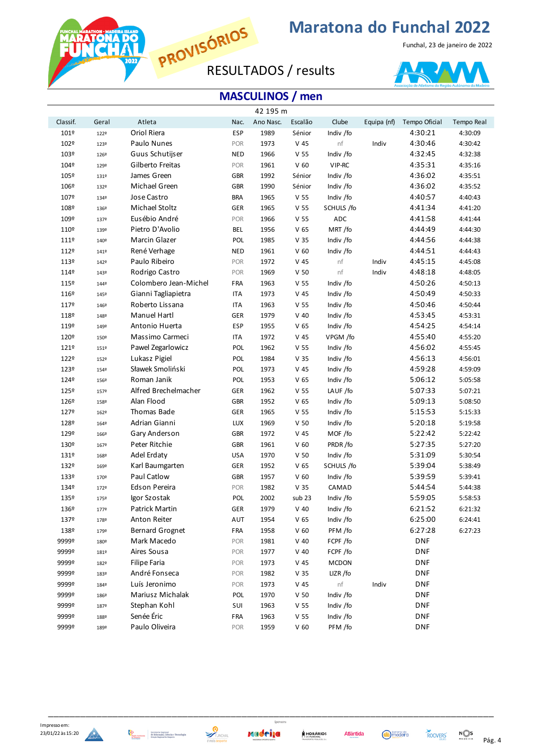

**RATONA DC** 

## **Maratona do Funchal 2022**

Funchal, 23 de janeiro de 2022



|          |       |                        |            | 42 195 m  |                 |              |             |               |            |
|----------|-------|------------------------|------------|-----------|-----------------|--------------|-------------|---------------|------------|
| Classif. | Geral | Atleta                 | Nac.       | Ano Nasc. | Escalão         | Clube        | Equipa (nf) | Tempo Oficial | Tempo Real |
| 101º     | 122º  | Oriol Riera            | <b>ESP</b> | 1989      | Sénior          | Indiv /fo    |             | 4:30:21       | 4:30:09    |
| 102º     | 123º  | Paulo Nunes            | POR        | 1973      | $V$ 45          | nf           | Indiv       | 4:30:46       | 4:30:42    |
| 103º     | 126º  | Guus Schutijser        | <b>NED</b> | 1966      | V <sub>55</sub> | Indiv /fo    |             | 4:32:45       | 4:32:38    |
| 104º     | 129º  | Gilberto Freitas       | POR        | 1961      | V <sub>60</sub> | VIP-RC       |             | 4:35:31       | 4:35:16    |
| 105º     | 131º  | James Green            | <b>GBR</b> | 1992      | Sénior          | Indiv /fo    |             | 4:36:02       | 4:35:51    |
| 106º     | 132º  | Michael Green          | <b>GBR</b> | 1990      | Sénior          | Indiv /fo    |             | 4:36:02       | 4:35:52    |
| 107º     | 134º  | Jose Castro            | <b>BRA</b> | 1965      | V <sub>55</sub> | Indiv /fo    |             | 4:40:57       | 4:40:43    |
| 108º     | 136º  | Michael Stoltz         | <b>GER</b> | 1965      | V <sub>55</sub> | SCHULS /fo   |             | 4:41:34       | 4:41:20    |
| 109º     | 137º  | Eusébio André          | POR        | 1966      | V <sub>55</sub> | ADC          |             | 4:41:58       | 4:41:44    |
| 110º     | 139º  | Pietro D'Avolio        | <b>BEL</b> | 1956      | V <sub>65</sub> | MRT/fo       |             | 4:44:49       | 4:44:30    |
| 111º     | 140°  | Marcin Glazer          | POL        | 1985      | V <sub>35</sub> | Indiv /fo    |             | 4:44:56       | 4:44:38    |
| 112º     | 141º  | René Verhage           | <b>NED</b> | 1961      | V <sub>60</sub> | Indiv /fo    |             | 4:44:51       | 4:44:43    |
| 113º     | 142º  | Paulo Ribeiro          | POR        | 1972      | $V$ 45          | nf           | Indiv       | 4:45:15       | 4:45:08    |
| 114º     | 143º  | Rodrigo Castro         | POR        | 1969      | V <sub>50</sub> | nf           | Indiv       | 4:48:18       | 4:48:05    |
| 115º     | 1449  | Colombero Jean-Michel  | FRA        | 1963      | V <sub>55</sub> | Indiv /fo    |             | 4:50:26       | 4:50:13    |
| 116º     | 145º  | Gianni Tagliapietra    | <b>ITA</b> | 1973      | $V$ 45          | Indiv /fo    |             | 4:50:49       | 4:50:33    |
| 1179     | 146º  | Roberto Lissana        | <b>ITA</b> | 1963      | V <sub>55</sub> | Indiv /fo    |             | 4:50:46       | 4:50:44    |
| 118º     | 148º  | Manuel Hartl           | GER        | 1979      | $V$ 40          | Indiv /fo    |             | 4:53:45       | 4:53:31    |
| 119º     | 149º  | Antonio Huerta         | <b>ESP</b> | 1955      | V <sub>65</sub> | Indiv /fo    |             | 4:54:25       | 4:54:14    |
| 120º     | 150º  | Massimo Carmeci        | <b>ITA</b> | 1972      | $V$ 45          | VPGM /fo     |             | 4:55:40       | 4:55:20    |
| 1219     | 151º  | Pawel Zegarlowicz      | POL        | 1962      | V <sub>55</sub> | Indiv /fo    |             | 4:56:02       | 4:55:45    |
| 122º     | 152º  | Lukasz Pigiel          | POL        | 1984      | V <sub>35</sub> | Indiv /fo    |             | 4:56:13       | 4:56:01    |
| 123º     | 1549  | Sławek Smoliński       | POL        | 1973      | $V$ 45          | Indiv /fo    |             | 4:59:28       | 4:59:09    |
| 1249     | 156º  | Roman Janik            | POL        | 1953      | V <sub>65</sub> | Indiv /fo    |             | 5:06:12       | 5:05:58    |
| 125º     | 157º  | Alfred Brechelmacher   | <b>GER</b> | 1962      | V <sub>55</sub> | LAUF /fo     |             | 5:07:33       | 5:07:21    |
| 126º     | 158º  | Alan Flood             | <b>GBR</b> | 1952      | V <sub>65</sub> | Indiv /fo    |             | 5:09:13       | 5:08:50    |
| 127º     | 162º  | Thomas Bade            | GER        | 1965      | V <sub>55</sub> | Indiv /fo    |             | 5:15:53       | 5:15:33    |
| 128º     | 164º  | Adrian Gianni          | <b>LUX</b> | 1969      | V <sub>50</sub> | Indiv /fo    |             | 5:20:18       | 5:19:58    |
| 129º     | 166º  | Gary Anderson          | <b>GBR</b> | 1972      | $V$ 45          | MOF /fo      |             | 5:22:42       | 5:22:42    |
| 130º     | 167º  | Peter Ritchie          | <b>GBR</b> | 1961      | V <sub>60</sub> | PRDR/fo      |             | 5:27:35       | 5:27:20    |
| 131º     | 168º  | Adel Erdaty            | <b>USA</b> | 1970      | V <sub>50</sub> | Indiv /fo    |             | 5:31:09       | 5:30:54    |
| 132º     | 169º  | Karl Baumgarten        | <b>GER</b> | 1952      | V <sub>65</sub> | SCHULS /fo   |             | 5:39:04       | 5:38:49    |
| 133º     | 170º  | Paul Catlow            | <b>GBR</b> | 1957      | V <sub>60</sub> | Indiv /fo    |             | 5:39:59       | 5:39:41    |
| 1349     | 172º  | Edson Pereira          | POR        | 1982      | V <sub>35</sub> | CAMAD        |             | 5:44:54       | 5:44:38    |
| 135º     | 175º  | Igor Szostak           | POL        | 2002      | sub 23          | Indiv /fo    |             | 5:59:05       | 5:58:53    |
| 136º     | 1779  | Patrick Martin         | <b>GER</b> | 1979      | $V$ 40          | Indiv /fo    |             | 6:21:52       | 6:21:32    |
| 137º     | 178º  | Anton Reiter           | AUT        | 1954      | V <sub>65</sub> | Indiv /fo    |             | 6:25:00       | 6:24:41    |
| 138º     | 179º  | <b>Bernard Grognet</b> | FRA        | 1958      | V <sub>60</sub> | PFM /fo      |             | 6:27:28       | 6:27:23    |
| 9999º    | 180º  | Mark Macedo            | POR        | 1981      | $V$ 40          | FCPF /fo     |             | <b>DNF</b>    |            |
| 9999º    | 181º  | Aires Sousa            | POR        | 1977      | $V$ 40          | FCPF /fo     |             | <b>DNF</b>    |            |
| 9999º    | 182º  | <b>Filipe Faria</b>    | POR        | 1973      | $V$ 45          | <b>MCDON</b> |             | <b>DNF</b>    |            |
| 9999º    | 183º  | André Fonseca          | POR        | 1982      | V <sub>35</sub> | LIZR/fo      |             | <b>DNF</b>    |            |
| 9999º    | 1849  | Luís Jeronimo          | POR        | 1973      | $V$ 45          | nf           | Indiv       | <b>DNF</b>    |            |
| 9999º    | 1869  | Mariusz Michalak       | POL        | 1970      | V <sub>50</sub> | Indiv /fo    |             | <b>DNF</b>    |            |
| 9999º    | 187º  | Stephan Kohl           | SUI        | 1963      | V <sub>55</sub> | Indiv /fo    |             | <b>DNF</b>    |            |
| 9999º    | 188º  | Senée Éric             | FRA        | 1963      | V <sub>55</sub> | Indiv /fo    |             | <b>DNF</b>    |            |
| 9999º    | 189º  | Paulo Oliveira         | POR        | 1959      | V <sub>60</sub> | PFM /fo      |             | <b>DNF</b>    |            |







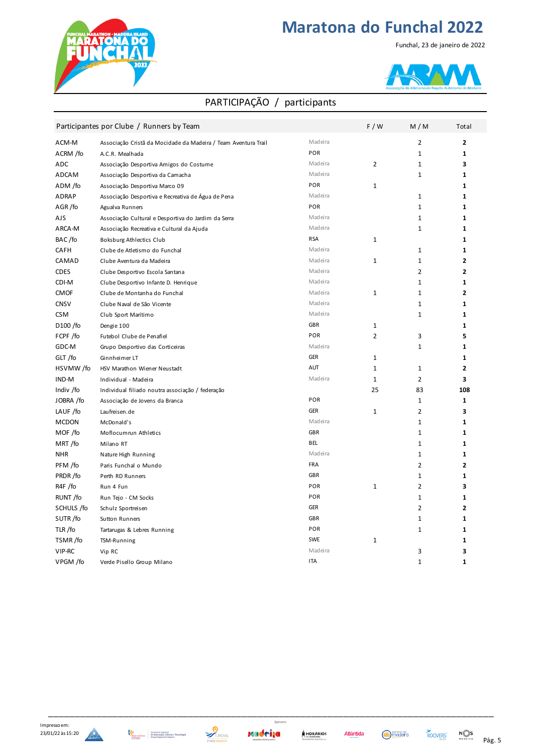

Funchal, 23 de janeiro de 2022



#### PARTICIPAÇÃO / participants

|              | Participantes por Clube / Runners by Team                      |            | F/W            | M/M            | Total          |
|--------------|----------------------------------------------------------------|------------|----------------|----------------|----------------|
| ACM-M        | Associação Cristã da Mocidade da Madeira / Team Aventura Trail | Madeira    |                | $\overline{2}$ | $\mathbf{2}$   |
| ACRM /fo     | A.C.R. Mealhada                                                | POR        |                | 1              | 1              |
| ADC          | Associação Desportiva Amigos do Costume                        | Madeira    | $\overline{2}$ | $\mathbf{1}$   | 3              |
| ADCAM        | Associação Desportiva da Camacha                               | Madeira    |                | 1              | 1              |
| ADM /fo      | Associação Desportiva Marco 09                                 | POR        | $\mathbf 1$    |                | $\mathbf{1}$   |
| ADRAP        | Associação Desportiva e Recreativa de Água de Pena             | Madeira    |                | $\mathbf{1}$   | $\mathbf{1}$   |
| AGR/fo       | Agualva Runners                                                | POR        |                | $\mathbf{1}$   | 1              |
| AJS          | Associação Cultural e Desportiva do Jardim da Serra            | Madeira    |                | $\mathbf{1}$   | $\mathbf{1}$   |
| ARCA-M       | Associação Recreativa e Cultural da Ajuda                      | Madeira    |                | $\mathbf{1}$   | 1              |
| BAC/fo       | Boksburg Athlectics Club                                       | <b>RSA</b> | $\mathbf 1$    |                | $\mathbf{1}$   |
| CAFH         | Clube de Atletismo do Funchal                                  | Madeira    |                | $\mathbf{1}$   | 1              |
| CAMAD        | Clube Aventura da Madeira                                      | Madeira    | $\mathbf{1}$   | $\mathbf{1}$   | $\overline{2}$ |
| <b>CDES</b>  | Clube Desportivo Escola Santana                                | Madeira    |                | $\overline{2}$ | 2              |
| CDI-M        | Clube Desportivo Infante D. Henrique                           | Madeira    |                | $\mathbf{1}$   | 1              |
| <b>CMOF</b>  | Clube de Montanha do Funchal                                   | Madeira    | $\mathbf 1$    | $\mathbf{1}$   | $\mathbf{2}$   |
| <b>CNSV</b>  | Clube Naval de São Vicente                                     | Madeira    |                | $\mathbf{1}$   | 1              |
| <b>CSM</b>   | Club Sport Marítimo                                            | Madeira    |                | $\mathbf{1}$   | 1              |
| D100 /fo     | Dengie 100                                                     | <b>GBR</b> | $\mathbf{1}$   |                | 1              |
| FCPF /fo     | Futebol Clube de Penafiel                                      | POR        | 2              | 3              | 5              |
| GDC-M        | Grupo Desportivo das Corticeiras                               | Madeira    |                | $\mathbf{1}$   | 1              |
| GLT/fo       | Ginnheimer LT                                                  | <b>GER</b> | $\mathbf 1$    |                | 1              |
| HSVMW/fo     | HSV Marathon Wiener Neustadt                                   | AUT        | $\mathbf{1}$   | $\mathbf{1}$   | $\overline{2}$ |
| IND-M        | Individual - Madeira                                           | Madeira    | 1              | $\overline{2}$ | 3              |
| Indiv /fo    | Individual filiado noutra associação / federação               |            | 25             | 83             | 108            |
| JOBRA /fo    | Associação de Jovens da Branca                                 | POR        |                | $\mathbf{1}$   | 1              |
| LAUF /fo     | Laufreisen.de                                                  | <b>GER</b> | $\mathbf{1}$   | $\overline{2}$ | 3              |
| <b>MCDON</b> | McDonald's                                                     | Madeira    |                | 1              | 1              |
| MOF /fo      | Moflocumrun Athletics                                          | <b>GBR</b> |                | 1              | 1              |
| MRT/fo       | Milano RT                                                      | <b>BEL</b> |                | 1              | 1              |
| <b>NHR</b>   | Nature High Running                                            | Madeira    |                | $\mathbf{1}$   | $\mathbf{1}$   |
| PFM /fo      | Paris Funchal o Mundo                                          | <b>FRA</b> |                | $\overline{2}$ | $\overline{2}$ |
| PRDR/fo      | Perth RD Runners                                               | <b>GBR</b> |                | 1              | 1              |
| R4F /fo      | Run 4 Fun                                                      | POR        | $\mathbf{1}$   | $\overline{2}$ | 3              |
| RUNT/fo      | Run Tejo - CM Socks                                            | POR        |                | $\mathbf{1}$   | 1              |
| SCHULS /fo   | Schulz Sportreisen                                             | <b>GER</b> |                | $\overline{2}$ | $\overline{2}$ |
| SUTR/fo      | Sutton Runners                                                 | <b>GBR</b> |                | $\mathbf{1}$   | 1              |
| TLR/fo       | Tartarugas & Lebres Running                                    | POR        |                | $\mathbf{1}$   | $\mathbf{1}$   |
| TSMR/fo      | TSM-Running                                                    | SWE        | $\mathbf 1$    |                | 1              |
| VIP-RC       | Vip RC                                                         | Madeira    |                | 3              | 3              |
| VPGM /fo     | Verde Pisello Group Milano                                     | <b>ITA</b> |                | $\mathbf{1}$   | 1              |







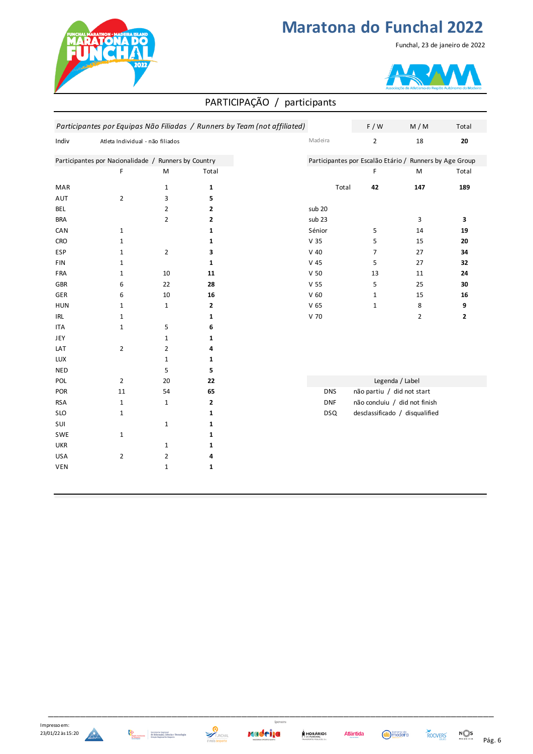

#### Funchal, 23 de janeiro de 2022



#### PARTICIPAÇÃO / participants

|                                    |                                                      |                |              | Participantes por Equipas Não Filiadas / Runners by Team (not affiliated) | F / W                                                   |  |
|------------------------------------|------------------------------------------------------|----------------|--------------|---------------------------------------------------------------------------|---------------------------------------------------------|--|
| Indiv                              | Atleta Individual - não filiados                     |                |              | Madeira                                                                   | $\overline{2}$                                          |  |
|                                    | Participantes por Nacionalidade / Runners by Country |                |              |                                                                           | Participantes por Escalão Etário / Runners by Age Group |  |
|                                    | F                                                    | M              | Total        |                                                                           | F                                                       |  |
| MAR                                |                                                      | $\mathbf{1}$   | $\mathbf{1}$ | Total                                                                     | 42                                                      |  |
| AUT                                | $\overline{2}$                                       | 3              | 5            |                                                                           |                                                         |  |
| <b>BEL</b>                         |                                                      | $\overline{2}$ | $\mathbf{2}$ | sub 20                                                                    |                                                         |  |
| <b>BRA</b>                         |                                                      | $\overline{2}$ | $\mathbf{2}$ | sub 23                                                                    |                                                         |  |
| CAN                                | $\mathbf{1}$                                         |                | $\mathbf{1}$ | Sénior                                                                    | 5                                                       |  |
| <b>CRO</b>                         | $\mathbf 1$                                          |                | $\mathbf{1}$ | V <sub>35</sub>                                                           | 5                                                       |  |
| ESP                                | $\mathbf{1}$                                         | $\overline{2}$ | 3            | $V$ 40                                                                    | 7                                                       |  |
| FIN                                | $\mathbf 1$                                          |                | $\mathbf{1}$ | $V$ 45                                                                    | 5                                                       |  |
| FRA                                | $\mathbf{1}$                                         | 10             | 11           | V <sub>50</sub>                                                           | 13                                                      |  |
| GBR                                | 6                                                    | 22             | 28           | V <sub>55</sub>                                                           | 5                                                       |  |
| <b>GER</b>                         | 6                                                    | 10             | 16           | V <sub>60</sub>                                                           | $1\,$                                                   |  |
| <b>HUN</b>                         | $\mathbf{1}$                                         | $\mathbf{1}$   | $\mathbf{2}$ | V <sub>65</sub>                                                           | $\mathbf 1$                                             |  |
| $\ensuremath{\mathsf{IRL}}\xspace$ | $\mathbf 1$                                          |                | $\mathbf{1}$ | V 70                                                                      |                                                         |  |
| <b>ITA</b>                         | $\mathbf 1$                                          | 5              | 6            |                                                                           |                                                         |  |
| JEY                                |                                                      | $\mathbf{1}$   | 1            |                                                                           |                                                         |  |
| LAT                                | $\overline{2}$                                       | $\overline{2}$ | 4            |                                                                           |                                                         |  |
| LUX                                |                                                      | $\mathbf{1}$   | 1            |                                                                           |                                                         |  |
| <b>NED</b>                         |                                                      | 5              | 5            |                                                                           |                                                         |  |
| POL                                | $\overline{2}$                                       | 20             | 22           |                                                                           | Legenda / Label                                         |  |
| POR                                | 11                                                   | 54             | 65           | <b>DNS</b>                                                                | não partiu / did not start                              |  |
| <b>RSA</b>                         | $\mathbf{1}$                                         | $\mathbf{1}$   | $\mathbf{2}$ | <b>DNF</b>                                                                | não concluiu / did not finish                           |  |
| <b>SLO</b>                         | $\mathbf{1}$                                         |                | $\mathbf{1}$ | <b>DSQ</b>                                                                | desclassificado / disqualified                          |  |
| SUI                                |                                                      | $\mathbf{1}$   | 1            |                                                                           |                                                         |  |
| SWE                                | $\mathbf{1}$                                         |                | $\mathbf{1}$ |                                                                           |                                                         |  |
| <b>UKR</b>                         |                                                      | $1\,$          | 1            |                                                                           |                                                         |  |
| <b>USA</b>                         | $\overline{2}$                                       | $\overline{2}$ | 4            |                                                                           |                                                         |  |
| <b>VEN</b>                         |                                                      | $\mathbf{1}$   | 1            |                                                                           |                                                         |  |











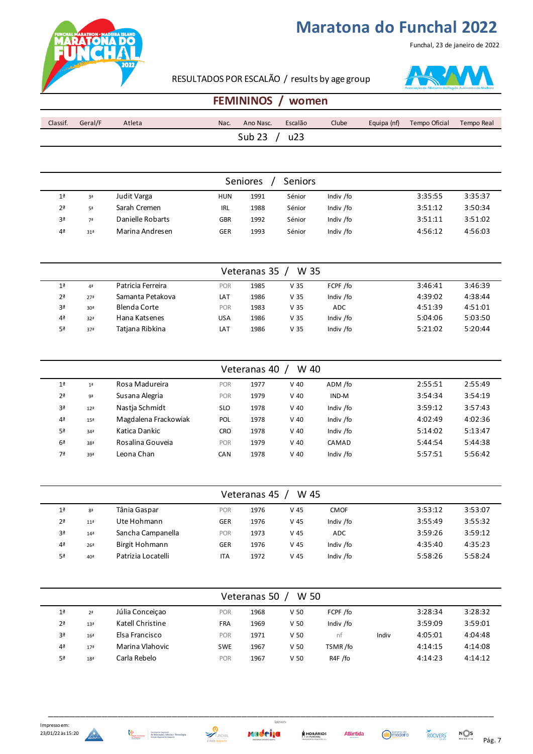

Funchal, 23 de janeiro de 2022

RESULTADOS POR ESCALÃO / results by age group



### **FEMININOS / women**

| Classif. | Geral/F | Atleta | Nac. | Ano Nasc.         | Escalão | Clube | Equipa (nf) | Tempo Oficial | Tempo Real |
|----------|---------|--------|------|-------------------|---------|-------|-------------|---------------|------------|
|          |         |        |      | Sub <sub>23</sub> | u23     |       |             |               |            |

|                | <b>Seniors</b><br>Seniores |                  |            |      |        |           |         |         |  |  |  |
|----------------|----------------------------|------------------|------------|------|--------|-----------|---------|---------|--|--|--|
| 1 <sup>a</sup> | 3ª                         | Judit Varga      | <b>HUN</b> | 1991 | Sénior | Indiv /fo | 3:35:55 | 3:35:37 |  |  |  |
| 2 <sup>a</sup> | 5ª                         | Sarah Cremen     | <b>IRL</b> | 1988 | Sénior | Indiv /fo | 3:51:12 | 3:50:34 |  |  |  |
| 3ª             | 7ª                         | Danielle Robarts | <b>GBR</b> | 1992 | Sénior | Indiv /fo | 3:51:11 | 3:51:02 |  |  |  |
| 4 <sup>a</sup> | 31ª                        | Marina Andresen  | GER        | 1993 | Sénior | Indiv /fo | 4:56:12 | 4:56:03 |  |  |  |

|                | W 35<br>Veteranas 35 |                   |            |      |                 |            |         |         |  |  |  |  |
|----------------|----------------------|-------------------|------------|------|-----------------|------------|---------|---------|--|--|--|--|
| 1 <sup>a</sup> | 4ª                   | Patricia Ferreira | <b>POR</b> | 1985 | V <sub>35</sub> | FCPF /fo   | 3:46:41 | 3:46:39 |  |  |  |  |
| 2 <sup>a</sup> | 27 <sup>a</sup>      | Samanta Petakova  | LAT        | 1986 | V 35            | Indiv /fo  | 4:39:02 | 4:38:44 |  |  |  |  |
| 3ª             | 30 <sup>a</sup>      | Blenda Corte      | <b>POR</b> | 1983 | V <sub>35</sub> | <b>ADC</b> | 4:51:39 | 4:51:01 |  |  |  |  |
| 4 <sup>a</sup> | 32 <sup>a</sup>      | Hana Katsenes     | USA        | 1986 | V 35            | Indiv /fo  | 5:04:06 | 5:03:50 |  |  |  |  |
| 5ª             | 37ª                  | Tatiana Ribkina   | LAT        | 1986 | V <sub>35</sub> | Indiv /fo  | 5:21:02 | 5:20:44 |  |  |  |  |

|                | W 40<br>Veteranas 40 |                      |            |      |        |           |         |         |  |  |  |  |
|----------------|----------------------|----------------------|------------|------|--------|-----------|---------|---------|--|--|--|--|
| 1 <sup>a</sup> | 1 <sup>a</sup>       | Rosa Madureira       | POR        | 1977 | $V$ 40 | ADM /fo   | 2:55:51 | 2:55:49 |  |  |  |  |
| 2 <sup>a</sup> | 9ª                   | Susana Alegria       | POR        | 1979 | $V$ 40 | IND-M     | 3:54:34 | 3:54:19 |  |  |  |  |
| 3ª             | 12 <sup>a</sup>      | Nastia Schmidt       | <b>SLO</b> | 1978 | $V$ 40 | Indiv /fo | 3:59:12 | 3:57:43 |  |  |  |  |
| 4 <sup>a</sup> | 15 <sup>a</sup>      | Magdalena Frackowiak | <b>POL</b> | 1978 | $V$ 40 | Indiv /fo | 4:02:49 | 4:02:36 |  |  |  |  |
| 5ª             | 34 <sup>a</sup>      | Katica Dankic        | <b>CRO</b> | 1978 | $V$ 40 | Indiv /fo | 5:14:02 | 5:13:47 |  |  |  |  |
| 6 <sup>a</sup> | 38ª                  | Rosalina Gouveia     | POR        | 1979 | $V$ 40 | CAMAD     | 5:44:54 | 5:44:38 |  |  |  |  |
| 7ª             | 39ª                  | Leona Chan           | CAN        | 1978 | $V$ 40 | Indiv /fo | 5:57:51 | 5:56:42 |  |  |  |  |

|                | W 45<br>Veteranas 45 |                    |            |      |                 |             |         |         |  |  |  |  |
|----------------|----------------------|--------------------|------------|------|-----------------|-------------|---------|---------|--|--|--|--|
| 1 <sup>a</sup> | 8 <sup>a</sup>       | Tânia Gaspar       | <b>POR</b> | 1976 | V 45            | <b>CMOF</b> | 3:53:12 | 3:53:07 |  |  |  |  |
| 2 <sup>a</sup> | 11 <sup>3</sup>      | Ute Hohmann        | <b>GER</b> | 1976 | V 45            | Indiv /fo   | 3:55:49 | 3:55:32 |  |  |  |  |
| 3ª             | 14 <sup>3</sup>      | Sancha Campanella  | <b>POR</b> | 1973 | V <sub>45</sub> | <b>ADC</b>  | 3:59:26 | 3:59:12 |  |  |  |  |
| 4 <sup>a</sup> | 26 <sup>a</sup>      | Birgit Hohmann     | <b>GER</b> | 1976 | V 45            | Indiv /fo   | 4:35:40 | 4:35:23 |  |  |  |  |
| 5ª             | 40ª                  | Patrizia Locatelli | ITA        | 1972 | V <sub>45</sub> | Indiv /fo   | 5:58:26 | 5:58:24 |  |  |  |  |

|                | W 50<br>Veteranas 50 |                  |            |      |                 |           |       |         |         |  |  |  |
|----------------|----------------------|------------------|------------|------|-----------------|-----------|-------|---------|---------|--|--|--|
| 1 <sup>a</sup> | 2 <sup>a</sup>       | Júlia Conceiçao  | <b>POR</b> | 1968 | V <sub>50</sub> | FCPF /fo  |       | 3:28:34 | 3:28:32 |  |  |  |
| 2 <sup>a</sup> | 13 <sup>a</sup>      | Katell Christine | <b>FRA</b> | 1969 | V <sub>50</sub> | Indiv /fo |       | 3:59:09 | 3:59:01 |  |  |  |
| 3ª             | 16 <sup>a</sup>      | Elsa Francisco   | <b>POR</b> | 1971 | V <sub>50</sub> | nt        | Indiv | 4:05:01 | 4:04:48 |  |  |  |
| 4 <sup>a</sup> | 17 <sup>a</sup>      | Marina Vlahovic  | <b>SWE</b> | 1967 | V <sub>50</sub> | TSMR /fo  |       | 4:14:15 | 4:14:08 |  |  |  |
| 5ª             | 18 <sup>a</sup>      | Carla Rebelo     | <b>POR</b> | 1967 | V <sub>50</sub> | R4F /fo   |       | 4:14:23 | 4:14:12 |  |  |  |





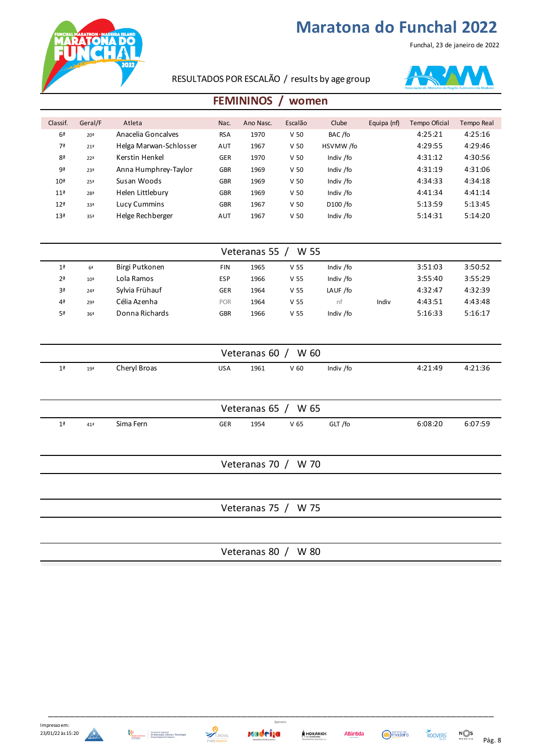Funchal, 23 de janeiro de 2022



RESULTADOS POR ESCALÃO / results by age group



### **FEMININOS / women**

| Classif.        | Geral/F         | Atleta                 | Nac.       | Ano Nasc. | Escalão         | Clube     | Equipa (nf) | <b>Tempo Oficial</b> | Tempo Real |
|-----------------|-----------------|------------------------|------------|-----------|-----------------|-----------|-------------|----------------------|------------|
| 6 <sup>a</sup>  | 20 <sup>a</sup> | Anacelia Goncalves     | <b>RSA</b> | 1970      | V <sub>50</sub> | BAC/fo    |             | 4:25:21              | 4:25:16    |
| 7ª              | 21 <sup>a</sup> | Helga Marwan-Schlosser | <b>AUT</b> | 1967      | V <sub>50</sub> | HSVMW/fo  |             | 4:29:55              | 4:29:46    |
| 8ª              | 22 <sup>a</sup> | Kerstin Henkel         | <b>GER</b> | 1970      | V <sub>50</sub> | Indiv /fo |             | 4:31:12              | 4:30:56    |
| 9ª              | 23ª             | Anna Humphrey-Taylor   | <b>GBR</b> | 1969      | V <sub>50</sub> | Indiv /fo |             | 4:31:19              | 4:31:06    |
| 10 <sup>a</sup> | 25 <sup>a</sup> | Susan Woods            | <b>GBR</b> | 1969      | V <sub>50</sub> | Indiv /fo |             | 4:34:33              | 4:34:18    |
| 11 <sup>a</sup> | 28 <sup>a</sup> | Helen Littlebury       | <b>GBR</b> | 1969      | V <sub>50</sub> | Indiv /fo |             | 4:41:34              | 4:41:14    |
| 12 <sup>a</sup> | 33ª             | Lucy Cummins           | <b>GBR</b> | 1967      | V <sub>50</sub> | D100 /fo  |             | 5:13:59              | 5:13:45    |
| 13 <sup>a</sup> | 35ª             | Helge Rechberger       | AUT        | 1967      | V <sub>50</sub> | Indiv /fo |             | 5:14:31              | 5:14:20    |
|                 |                 |                        |            |           |                 |           |             |                      |            |

|                | Veteranas 55<br>W 55 |                |            |      |                 |           |       |         |         |  |  |
|----------------|----------------------|----------------|------------|------|-----------------|-----------|-------|---------|---------|--|--|
| 1 <sup>a</sup> | 6 <sup>a</sup>       | Birgi Putkonen | <b>FIN</b> | 1965 | V <sub>55</sub> | Indiv /fo |       | 3:51:03 | 3:50:52 |  |  |
| 2 <sup>a</sup> | 10 <sup>a</sup>      | Lola Ramos     | <b>ESP</b> | 1966 | V <sub>55</sub> | Indiv /fo |       | 3:55:40 | 3:55:29 |  |  |
| 3ª             | 24 <sup>a</sup>      | Sylvia Frühauf | <b>GER</b> | 1964 | V <sub>55</sub> | LAUF /fo  |       | 4:32:47 | 4:32:39 |  |  |
| 4 <sup>a</sup> | 29ª                  | Célia Azenha   | <b>POR</b> | 1964 | V <sub>55</sub> | nt        | Indiv | 4:43:51 | 4:43:48 |  |  |
| 5ª             | 36ª                  | Donna Richards | <b>GBR</b> | 1966 | V <sub>55</sub> | Indiv /fo |       | 5:16:33 | 5:16:17 |  |  |

| Veteranas 60 $/$ W 60                                                                                              |  |  |  |  |  |  |  |         |  |
|--------------------------------------------------------------------------------------------------------------------|--|--|--|--|--|--|--|---------|--|
| Cheryl Broas<br>4:21:49<br>Indiv /fo<br>V <sub>60</sub><br>1961<br>1 <sup>a</sup><br><b>USA</b><br>19 <sup>a</sup> |  |  |  |  |  |  |  | 4:21:36 |  |
|                                                                                                                    |  |  |  |  |  |  |  |         |  |

| W 65<br>Veteranas 65 / |           |            |      |                 |         |         |         |  |  |
|------------------------|-----------|------------|------|-----------------|---------|---------|---------|--|--|
| 41ª                    | Sima Fern | <b>GER</b> | 1954 | V <sub>65</sub> | GLT /fo | 6:08:20 | 6:07:59 |  |  |

Veteranas 70 / W 70

Veteranas 75 / W 75

Veteranas 80 / W 80

x





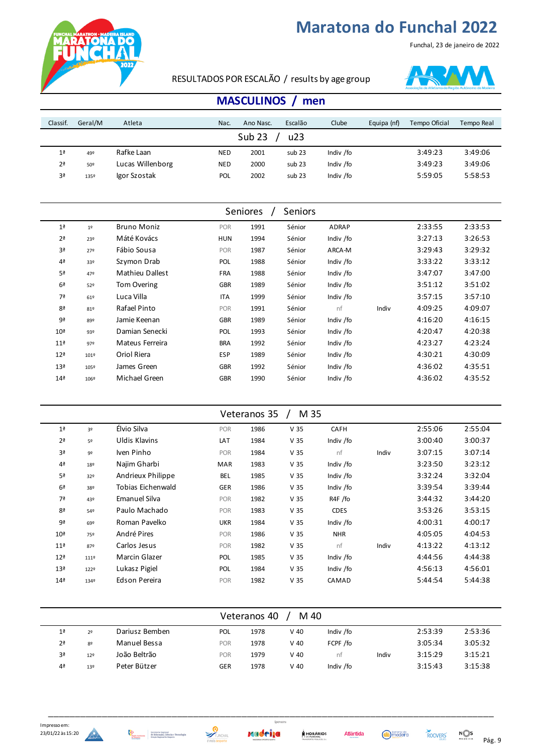

Funchal, 23 de janeiro de 2022

RESULTADOS POR ESCALÃO / results by age group



| Classif.       | Geral/M | Atleta           | Nac.       | Ano Nasc. | Escalão | Clube     | Equipa (nf) | Tempo Oficial | Tempo Real |
|----------------|---------|------------------|------------|-----------|---------|-----------|-------------|---------------|------------|
|                |         |                  |            |           |         |           |             |               |            |
| 1 <sup>a</sup> | 49º     | Rafke Laan       | <b>NED</b> | 2001      | sub 23  | Indiv /fo |             | 3:49:23       | 3:49:06    |
| 2 <sup>a</sup> | 50º     | Lucas Willenborg | <b>NED</b> | 2000      | sub 23  | Indiv /fo |             | 3:49:23       | 3:49:06    |
| Зª             | 135º    | Igor Szostak     | POL        | 2002      | sub 23  | Indiv /fo |             | 5:59:05       | 5:58:53    |

|                 |                |                        | Seniores   |      | <b>Seniors</b> |           |       |         |         |
|-----------------|----------------|------------------------|------------|------|----------------|-----------|-------|---------|---------|
| 1 <sup>a</sup>  | 1 <sup>°</sup> | <b>Bruno Moniz</b>     | POR        | 1991 | Sénior         | ADRAP     |       | 2:33:55 | 2:33:53 |
| 2 <sup>a</sup>  | 23º            | Máté Kovács            | <b>HUN</b> | 1994 | Sénior         | Indiv /fo |       | 3:27:13 | 3:26:53 |
| 3ª              | 27º            | Fábio Sousa            | POR        | 1987 | Sénior         | ARCA-M    |       | 3:29:43 | 3:29:32 |
| 4ª              | 33º            | Szymon Drab            | POL        | 1988 | Sénior         | Indiv /fo |       | 3:33:22 | 3:33:12 |
| 5ª              | 47º            | <b>Mathieu Dallest</b> | <b>FRA</b> | 1988 | Sénior         | Indiv /fo |       | 3:47:07 | 3:47:00 |
| 6 <sup>a</sup>  | 52º            | <b>Tom Overing</b>     | <b>GBR</b> | 1989 | Sénior         | Indiv /fo |       | 3:51:12 | 3:51:02 |
| 7ª              | 61º            | Luca Villa             | <b>ITA</b> | 1999 | Sénior         | Indiv /fo |       | 3:57:15 | 3:57:10 |
| 8 <sup>a</sup>  | 81º            | Rafael Pinto           | POR        | 1991 | Sénior         | nf        | Indiv | 4:09:25 | 4:09:07 |
| 9ª              | 892            | Jamie Keenan           | <b>GBR</b> | 1989 | Sénior         | Indiv /fo |       | 4:16:20 | 4:16:15 |
| 10 <sup>a</sup> | 93º            | Damian Senecki         | POL        | 1993 | Sénior         | Indiv /fo |       | 4:20:47 | 4:20:38 |
| 11 <sup>a</sup> | 97º            | Mateus Ferreira        | <b>BRA</b> | 1992 | Sénior         | Indiv /fo |       | 4:23:27 | 4:23:24 |
| 12 <sup>a</sup> | 101º           | Oriol Riera            | <b>ESP</b> | 1989 | Sénior         | Indiv /fo |       | 4:30:21 | 4:30:09 |
| 13 <sup>a</sup> | 105º           | James Green            | <b>GBR</b> | 1992 | Sénior         | Indiv /fo |       | 4:36:02 | 4:35:51 |
| 14 <sup>a</sup> | 106º           | Michael Green          | <b>GBR</b> | 1990 | Sénior         | Indiv /fo |       | 4:36:02 | 4:35:52 |

|                 | Veteranos 35 /<br>M 35 |                      |            |      |                 |             |       |         |         |  |  |
|-----------------|------------------------|----------------------|------------|------|-----------------|-------------|-------|---------|---------|--|--|
| 1 <sup>a</sup>  | 3º                     | Élvio Silva          | <b>POR</b> | 1986 | V <sub>35</sub> | <b>CAFH</b> |       | 2:55:06 | 2:55:04 |  |  |
| 2 <sup>a</sup>  | 5º                     | <b>Uldis Klavins</b> | <b>LAT</b> | 1984 | V <sub>35</sub> | Indiv /fo   |       | 3:00:40 | 3:00:37 |  |  |
| 3ª              | 9º                     | Iven Pinho           | <b>POR</b> | 1984 | V <sub>35</sub> | nf          | Indiv | 3:07:15 | 3:07:14 |  |  |
| 4 <sup>a</sup>  | 18º                    | Najim Gharbi         | MAR        | 1983 | V <sub>35</sub> | Indiv /fo   |       | 3:23:50 | 3:23:12 |  |  |
| 5ª              | 32º                    | Andrieux Philippe    | <b>BEL</b> | 1985 | V <sub>35</sub> | Indiv /fo   |       | 3:32:24 | 3:32:04 |  |  |
| 6 <sup>a</sup>  | 38º                    | Tobias Eichenwald    | <b>GER</b> | 1986 | V <sub>35</sub> | Indiv /fo   |       | 3:39:54 | 3:39:44 |  |  |
| 7ª              | 43º                    | <b>Emanuel Silva</b> | <b>POR</b> | 1982 | V <sub>35</sub> | R4F /fo     |       | 3:44:32 | 3:44:20 |  |  |
| 8ª              | 54º                    | Paulo Machado        | POR        | 1983 | V <sub>35</sub> | <b>CDES</b> |       | 3:53:26 | 3:53:15 |  |  |
| 9ª              | 69º                    | Roman Pavelko        | <b>UKR</b> | 1984 | V <sub>35</sub> | Indiv /fo   |       | 4:00:31 | 4:00:17 |  |  |
| 10 <sup>a</sup> | 75º                    | André Pires          | <b>POR</b> | 1986 | V <sub>35</sub> | <b>NHR</b>  |       | 4:05:05 | 4:04:53 |  |  |
| 11 <sup>a</sup> | 87º                    | Carlos Jesus         | <b>POR</b> | 1982 | V <sub>35</sub> | nf          | Indiv | 4:13:22 | 4:13:12 |  |  |
| 12 <sup>a</sup> | 111º                   | Marcin Glazer        | POL        | 1985 | V <sub>35</sub> | Indiv /fo   |       | 4:44:56 | 4:44:38 |  |  |
| 13 <sup>a</sup> | 122º                   | Lukasz Pigiel        | POL        | 1984 | V <sub>35</sub> | Indiv /fo   |       | 4:56:13 | 4:56:01 |  |  |
| 14 <sup>2</sup> | 134º                   | Edson Pereira        | <b>POR</b> | 1982 | V <sub>35</sub> | CAMAD       |       | 5:44:54 | 5:44:38 |  |  |
|                 |                        |                      |            |      |                 |             |       |         |         |  |  |

| Veteranos 40<br>M 40 |                |                |            |      |        |           |       |         |         |  |  |
|----------------------|----------------|----------------|------------|------|--------|-----------|-------|---------|---------|--|--|
| 1 <sup>a</sup>       | 2 <sup>0</sup> | Dariusz Bemben | POL        | 1978 | $V$ 40 | Indiv /fo |       | 2:53:39 | 2:53:36 |  |  |
| 2 <sup>a</sup>       | 8º             | Manuel Bessa   | <b>POR</b> | 1978 | $V$ 40 | FCPF /fo  |       | 3:05:34 | 3:05:32 |  |  |
| 3ª                   | 129            | João Beltrão   | <b>POR</b> | 1979 | $V$ 40 | nf        | Indiv | 3:15:29 | 3:15:21 |  |  |
| 4ª                   | 13º            | Peter Bützer   | GER        | 1978 | $V$ 40 | Indiv /fo |       | 3:15:43 | 3:15:38 |  |  |



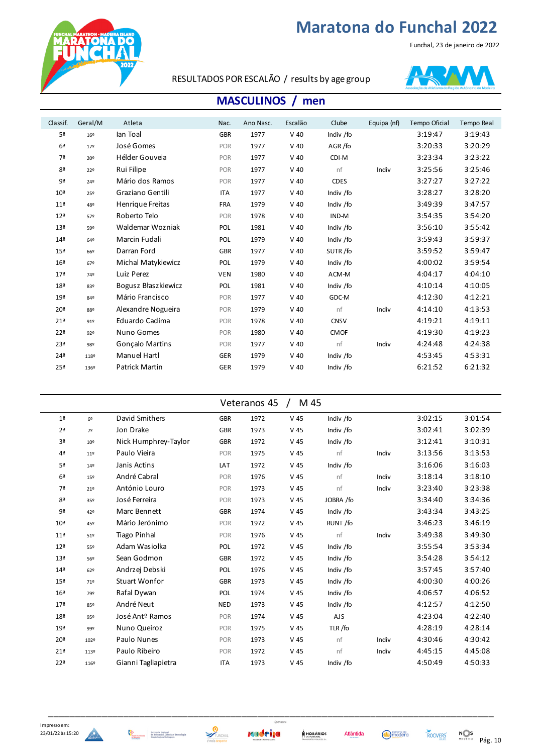

#### Funchal, 23 de janeiro de 2022





| Classif.        | Geral/M         | Atleta                | Nac.       | Ano Nasc. | Escalão | Clube       | Equipa (nf) | Tempo Oficial | Tempo Real |
|-----------------|-----------------|-----------------------|------------|-----------|---------|-------------|-------------|---------------|------------|
| 5 <sup>a</sup>  | 16º             | lan Toal              | <b>GBR</b> | 1977      | $V$ 40  | Indiv /fo   |             | 3:19:47       | 3:19:43    |
| 6 <sup>a</sup>  | $17^{\circ}$    | José Gomes            | POR        | 1977      | $V$ 40  | AGR/fo      |             | 3:20:33       | 3:20:29    |
| 7ª              | 20º             | Hélder Gouveia        | <b>POR</b> | 1977      | $V$ 40  | CDI-M       |             | 3:23:34       | 3:23:22    |
| 8ª              | 22 <sup>°</sup> | Rui Filipe            | <b>POR</b> | 1977      | $V$ 40  | nf          | Indiv       | 3:25:56       | 3:25:46    |
| 9ª              | 24º             | Mário dos Ramos       | <b>POR</b> | 1977      | $V$ 40  | <b>CDES</b> |             | 3:27:27       | 3:27:22    |
| 10 <sup>a</sup> | 25º             | Graziano Gentili      | <b>ITA</b> | 1977      | $V$ 40  | Indiv /fo   |             | 3:28:27       | 3:28:20    |
| 11 <sup>a</sup> | 48º             | Henrique Freitas      | <b>FRA</b> | 1979      | $V$ 40  | Indiv /fo   |             | 3:49:39       | 3:47:57    |
| 12 <sup>a</sup> | 57º             | Roberto Telo          | POR        | 1978      | $V$ 40  | IND-M       |             | 3:54:35       | 3:54:20    |
| 13 <sup>a</sup> | 59º             | Waldemar Wozniak      | <b>POL</b> | 1981      | $V$ 40  | Indiv /fo   |             | 3:56:10       | 3:55:42    |
| 14 <sup>2</sup> | 64º             | Marcin Fudali         | POL        | 1979      | $V$ 40  | Indiv /fo   |             | 3:59:43       | 3:59:37    |
| 15 <sup>a</sup> | 66º             | Darran Ford           | <b>GBR</b> | 1977      | $V$ 40  | SUTR/fo     |             | 3:59:52       | 3:59:47    |
| 16 <sup>a</sup> | 67º             | Michal Matykiewicz    | POL        | 1979      | $V$ 40  | Indiv /fo   |             | 4:00:02       | 3:59:54    |
| 17 <sup>a</sup> | 74º             | Luiz Perez            | <b>VEN</b> | 1980      | $V$ 40  | ACM-M       |             | 4:04:17       | 4:04:10    |
| 18 <sup>a</sup> | 83º             | Bogusz Błaszkiewicz   | POL        | 1981      | $V$ 40  | Indiv /fo   |             | 4:10:14       | 4:10:05    |
| 19ª             | 84º             | Mário Francisco       | POR        | 1977      | $V$ 40  | GDC-M       |             | 4:12:30       | 4:12:21    |
| 20 <sup>a</sup> | 88º             | Alexandre Nogueira    | <b>POR</b> | 1979      | $V$ 40  | nf          | Indiv       | 4:14:10       | 4:13:53    |
| 21 <sup>a</sup> | 91°             | Eduardo Cadima        | <b>POR</b> | 1978      | $V$ 40  | <b>CNSV</b> |             | 4:19:21       | 4:19:11    |
| 22 <sup>a</sup> | 92º             | Nuno Gomes            | <b>POR</b> | 1980      | $V$ 40  | <b>CMOF</b> |             | 4:19:30       | 4:19:23    |
| 23 <sup>a</sup> | 98º             | Gonçalo Martins       | POR        | 1977      | $V$ 40  | nf          | Indiv       | 4:24:48       | 4:24:38    |
| 24 <sup>a</sup> | 118º            | Manuel Hartl          | <b>GER</b> | 1979      | $V$ 40  | Indiv /fo   |             | 4:53:45       | 4:53:31    |
| 25 <sup>a</sup> | 136º            | <b>Patrick Martin</b> | <b>GER</b> | 1979      | $V$ 40  | Indiv /fo   |             | 6:21:52       | 6:21:32    |
|                 |                 |                       |            |           |         |             |             |               |            |

| Veteranos 45 |  | M 45 |
|--------------|--|------|
|--------------|--|------|

| 1 <sup>a</sup>  | 6 <sup>9</sup>  | David Smithers              | <b>GBR</b> | 1972 | $V$ 45 | Indiv /fo |       | 3:02:15 | 3:01:54 |  |
|-----------------|-----------------|-----------------------------|------------|------|--------|-----------|-------|---------|---------|--|
| 2 <sup>a</sup>  | 7º              | Jon Drake                   | <b>GBR</b> | 1973 | $V$ 45 | Indiv /fo |       | 3:02:41 | 3:02:39 |  |
| 3ª              | 10 <sup>°</sup> | Nick Humphrey-Taylor        | <b>GBR</b> | 1972 | $V$ 45 | Indiv /fo |       | 3:12:41 | 3:10:31 |  |
| 4 <sup>a</sup>  | 11 <sup>°</sup> | Paulo Vieira                | <b>POR</b> | 1975 | $V$ 45 | nf        | Indiv | 3:13:56 | 3:13:53 |  |
| 5ª              | 14º             | Janis Actins                | LAT        | 1972 | $V$ 45 | Indiv /fo |       | 3:16:06 | 3:16:03 |  |
| 6 <sup>a</sup>  | 15º             | André Cabral                | POR        | 1976 | $V$ 45 | nf        | Indiv | 3:18:14 | 3:18:10 |  |
| 7ª              | 21°             | António Louro               | POR        | 1973 | $V$ 45 | nf        | Indiv | 3:23:40 | 3:23:38 |  |
| 8ª              | 35º             | José Ferreira               | POR        | 1973 | $V$ 45 | JOBRA /fo |       | 3:34:40 | 3:34:36 |  |
| 9ª              | 42º             | Marc Bennett                | <b>GBR</b> | 1974 | $V$ 45 | Indiv /fo |       | 3:43:34 | 3:43:25 |  |
| 10 <sup>a</sup> | 45º             | Mário Jerónimo              | POR        | 1972 | $V$ 45 | RUNT/fo   |       | 3:46:23 | 3:46:19 |  |
| 11 <sup>a</sup> | 51º             | <b>Tiago Pinhal</b>         | POR        | 1976 | $V$ 45 | nf        | Indiv | 3:49:38 | 3:49:30 |  |
| 12 <sup>a</sup> | 55º             | Adam Wasiołka               | POL        | 1972 | $V$ 45 | Indiv /fo |       | 3:55:54 | 3:53:34 |  |
| 13 <sup>a</sup> | 56º             | Sean Godmon                 | <b>GBR</b> | 1972 | $V$ 45 | Indiv /fo |       | 3:54:28 | 3:54:12 |  |
| 14 <sup>a</sup> | 62º             | Andrzej Debski              | POL        | 1976 | $V$ 45 | Indiv /fo |       | 3:57:45 | 3:57:40 |  |
| 15 <sup>a</sup> | 71º             | Stuart Wonfor               | <b>GBR</b> | 1973 | $V$ 45 | Indiv /fo |       | 4:00:30 | 4:00:26 |  |
| 16 <sup>a</sup> | 79º             | Rafal Dywan                 | POL        | 1974 | $V$ 45 | Indiv /fo |       | 4:06:57 | 4:06:52 |  |
| 17 <sup>a</sup> | 85º             | André Neut                  | <b>NED</b> | 1973 | $V$ 45 | Indiv /fo |       | 4:12:57 | 4:12:50 |  |
| 18 <sup>a</sup> | 95º             | José Ant <sup>o</sup> Ramos | POR        | 1974 | $V$ 45 | AJS       |       | 4:23:04 | 4:22:40 |  |
| 19 <sup>a</sup> | 99º             | Nuno Queiroz                | POR        | 1975 | $V$ 45 | TLR/fo    |       | 4:28:19 | 4:28:14 |  |
| 20 <sup>a</sup> | 1029            | Paulo Nunes                 | <b>POR</b> | 1973 | $V$ 45 | nf        | Indiv | 4:30:46 | 4:30:42 |  |
| 21 <sup>a</sup> | 113º            | Paulo Ribeiro               | POR        | 1972 | $V$ 45 | nf        | Indiv | 4:45:15 | 4:45:08 |  |
| 22 <sup>a</sup> | 1169            | Gianni Tagliapietra         | <b>ITA</b> | 1973 | $V$ 45 | Indiv /fo |       | 4:50:49 | 4:50:33 |  |





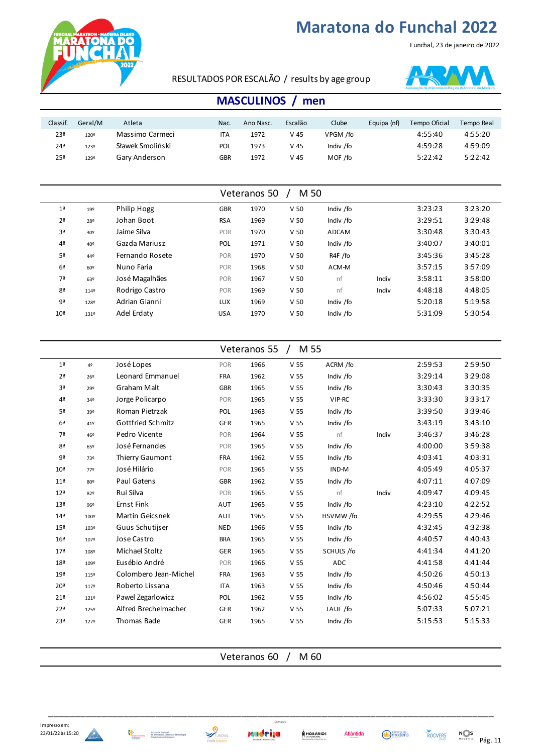

Funchal, 23 de janeiro de 2022

#### RESULTADOS POR ESCALÃO / results by age group



### **MASCULINOS / men**

| Classif.        | Geral/M | Atleta           | Nac.       | Ano Nasc. | Escalão | Clube     | Equipa (nf) | Tempo Oficial | Tempo Real |
|-----------------|---------|------------------|------------|-----------|---------|-----------|-------------|---------------|------------|
| 23ª             | 1209    | Massimo Carmeci  | ITA        | 1972      | V 45    | VPGM /fo  |             | 4:55:40       | 4:55:20    |
| 24ª             | 123º    | Sławek Smoliński | <b>POL</b> | 1973      | V 45    | Indiv /fo |             | 4:59:28       | 4:59:09    |
| 25 <sup>a</sup> | 1299    | Gary Anderson    | <b>GBR</b> | 1972      | V 45    | MOF /fo   |             | 5:22:42       | 5:22:42    |

|                 | M 50<br>Veteranos 50 |                 |            |      |                 |              |       |         |         |  |  |
|-----------------|----------------------|-----------------|------------|------|-----------------|--------------|-------|---------|---------|--|--|
| 1 <sup>a</sup>  | 192                  | Philip Hogg     | <b>GBR</b> | 1970 | V <sub>50</sub> | Indiv /fo    |       | 3:23:23 | 3:23:20 |  |  |
| 2 <sup>a</sup>  | 28º                  | Johan Boot      | <b>RSA</b> | 1969 | V <sub>50</sub> | Indiv /fo    |       | 3:29:51 | 3:29:48 |  |  |
| 3ª              | 30 <sup>o</sup>      | Jaime Silva     | <b>POR</b> | 1970 | V <sub>50</sub> | <b>ADCAM</b> |       | 3:30:48 | 3:30:43 |  |  |
| 4 <sup>a</sup>  | 40º                  | Gazda Mariusz   | <b>POL</b> | 1971 | V <sub>50</sub> | Indiv /fo    |       | 3:40:07 | 3:40:01 |  |  |
| 5ª              | 44º                  | Fernando Rosete | <b>POR</b> | 1970 | V <sub>50</sub> | R4F /fo      |       | 3:45:36 | 3:45:28 |  |  |
| 6 <sup>a</sup>  | 60º                  | Nuno Faria      | POR        | 1968 | V <sub>50</sub> | ACM-M        |       | 3:57:15 | 3:57:09 |  |  |
| 7ª              | 63º                  | José Magalhães  | POR        | 1967 | V <sub>50</sub> | nf           | Indiv | 3:58:11 | 3:58:00 |  |  |
| 8 <sup>a</sup>  | 1149                 | Rodrigo Castro  | POR        | 1969 | V <sub>50</sub> | nf           | Indiv | 4:48:18 | 4:48:05 |  |  |
| 9ª              | 128º                 | Adrian Gianni   | LUX        | 1969 | V <sub>50</sub> | Indiv /fo    |       | 5:20:18 | 5:19:58 |  |  |
| 10 <sup>a</sup> | 131º                 | Adel Erdaty     | <b>USA</b> | 1970 | V <sub>50</sub> | Indiv /fo    |       | 5:31:09 | 5:30:54 |  |  |

| M 55<br>Veteranos 55 $/$ |      |                       |            |      |                 |            |       |         |         |  |
|--------------------------|------|-----------------------|------------|------|-----------------|------------|-------|---------|---------|--|
| 1 <sup>a</sup>           | 4º   | José Lopes            | POR        | 1966 | V <sub>55</sub> | ACRM /fo   |       | 2:59:53 | 2:59:50 |  |
| 2 <sup>a</sup>           | 26º  | Leonard Emmanuel      | <b>FRA</b> | 1962 | V <sub>55</sub> | Indiv /fo  |       | 3:29:14 | 3:29:08 |  |
| 3ª                       | 29º  | Graham Malt           | <b>GBR</b> | 1965 | V <sub>55</sub> | Indiv /fo  |       | 3:30:43 | 3:30:35 |  |
| 4 <sup>a</sup>           | 34º  | Jorge Policarpo       | POR        | 1965 | V <sub>55</sub> | VIP-RC     |       | 3:33:30 | 3:33:17 |  |
| 5ª                       | 39º  | Roman Pietrzak        | POL        | 1963 | V <sub>55</sub> | Indiv /fo  |       | 3:39:50 | 3:39:46 |  |
| 6 <sup>a</sup>           | 41º  | Gottfried Schmitz     | GER        | 1965 | V <sub>55</sub> | Indiv /fo  |       | 3:43:19 | 3:43:10 |  |
| 7ª                       | 46º  | Pedro Vicente         | POR        | 1964 | V <sub>55</sub> | nf         | Indiv | 3:46:37 | 3:46:28 |  |
| 8ª                       | 65º  | José Fernandes        | POR        | 1965 | V <sub>55</sub> | Indiv /fo  |       | 4:00:00 | 3:59:38 |  |
| 9ª                       | 73º  | Thierry Gaumont       | <b>FRA</b> | 1962 | V <sub>55</sub> | Indiv /fo  |       | 4:03:41 | 4:03:31 |  |
| 10 <sup>a</sup>          | 77º  | José Hilário          | POR        | 1965 | V <sub>55</sub> | IND-M      |       | 4:05:49 | 4:05:37 |  |
| 11 <sup>a</sup>          | 80º  | Paul Gatens           | <b>GBR</b> | 1962 | V <sub>55</sub> | Indiv /fo  |       | 4:07:11 | 4:07:09 |  |
| 12 <sup>a</sup>          | 82º  | Rui Silva             | POR        | 1965 | V <sub>55</sub> | nf         | Indiv | 4:09:47 | 4:09:45 |  |
| 13 <sup>a</sup>          | 96º  | <b>Ernst Fink</b>     | AUT        | 1965 | V <sub>55</sub> | Indiv /fo  |       | 4:23:10 | 4:22:52 |  |
| 14 <sup>a</sup>          | 100º | Martin Geicsnek       | AUT        | 1965 | V <sub>55</sub> | HSVMW/fo   |       | 4:29:55 | 4:29:46 |  |
| 15 <sup>a</sup>          | 103º | Guus Schutijser       | <b>NED</b> | 1966 | V <sub>55</sub> | Indiv /fo  |       | 4:32:45 | 4:32:38 |  |
| 16 <sup>a</sup>          | 1079 | Jose Castro           | <b>BRA</b> | 1965 | V <sub>55</sub> | Indiv /fo  |       | 4:40:57 | 4:40:43 |  |
| 17 <sup>a</sup>          | 108º | Michael Stoltz        | GER        | 1965 | V <sub>55</sub> | SCHULS /fo |       | 4:41:34 | 4:41:20 |  |
| 18 <sup>a</sup>          | 109º | Eusébio André         | POR        | 1966 | V <sub>55</sub> | ADC        |       | 4:41:58 | 4:41:44 |  |
| 19 <sup>a</sup>          | 115º | Colombero Jean-Michel | <b>FRA</b> | 1963 | V <sub>55</sub> | Indiv /fo  |       | 4:50:26 | 4:50:13 |  |
| 20 <sup>a</sup>          | 1179 | Roberto Lissana       | <b>ITA</b> | 1963 | V <sub>55</sub> | Indiv /fo  |       | 4:50:46 | 4:50:44 |  |
| 21 <sup>a</sup>          | 1219 | Pawel Zegarlowicz     | POL        | 1962 | V <sub>55</sub> | Indiv /fo  |       | 4:56:02 | 4:55:45 |  |
| 22 <sup>a</sup>          | 125º | Alfred Brechelmacher  | GER        | 1962 | V <sub>55</sub> | LAUF /fo   |       | 5:07:33 | 5:07:21 |  |
| 23ª                      | 1279 | Thomas Bade           | GER        | 1965 | V <sub>55</sub> | Indiv /fo  |       | 5:15:53 | 5:15:33 |  |
|                          |      |                       |            |      |                 |            |       |         |         |  |

Veteranos 60 / M 60